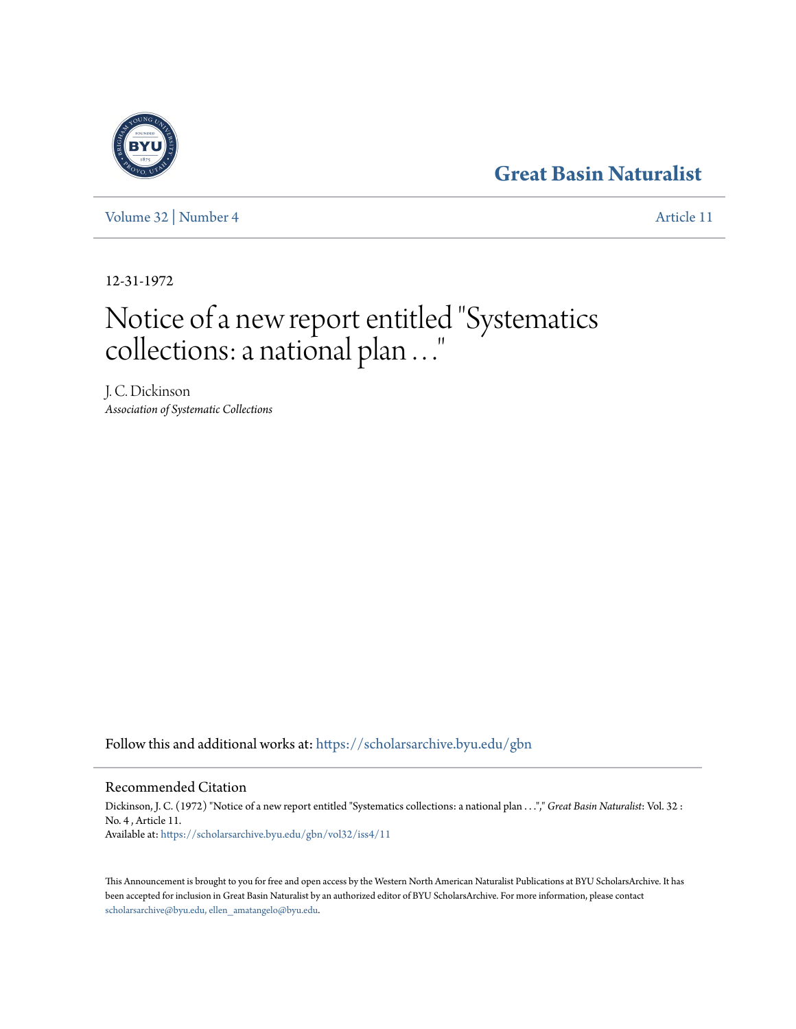## **[Great Basin Naturalist](https://scholarsarchive.byu.edu/gbn?utm_source=scholarsarchive.byu.edu%2Fgbn%2Fvol32%2Fiss4%2F11&utm_medium=PDF&utm_campaign=PDFCoverPages)**

[Volume 32](https://scholarsarchive.byu.edu/gbn/vol32?utm_source=scholarsarchive.byu.edu%2Fgbn%2Fvol32%2Fiss4%2F11&utm_medium=PDF&utm_campaign=PDFCoverPages) | [Number 4](https://scholarsarchive.byu.edu/gbn/vol32/iss4?utm_source=scholarsarchive.byu.edu%2Fgbn%2Fvol32%2Fiss4%2F11&utm_medium=PDF&utm_campaign=PDFCoverPages) [Article 11](https://scholarsarchive.byu.edu/gbn/vol32/iss4/11?utm_source=scholarsarchive.byu.edu%2Fgbn%2Fvol32%2Fiss4%2F11&utm_medium=PDF&utm_campaign=PDFCoverPages)

12-31-1972

## Notice of a new report entitled "Systematics collections: a national plan . . ."

J. C. Dickinson *Association of Systematic Collections*

Follow this and additional works at: [https://scholarsarchive.byu.edu/gbn](https://scholarsarchive.byu.edu/gbn?utm_source=scholarsarchive.byu.edu%2Fgbn%2Fvol32%2Fiss4%2F11&utm_medium=PDF&utm_campaign=PDFCoverPages)

Recommended Citation

Dickinson, J. C. (1972) "Notice of a new report entitled "Systematics collections: a national plan . . ."," *Great Basin Naturalist*: Vol. 32 : No. 4 , Article 11. Available at: [https://scholarsarchive.byu.edu/gbn/vol32/iss4/11](https://scholarsarchive.byu.edu/gbn/vol32/iss4/11?utm_source=scholarsarchive.byu.edu%2Fgbn%2Fvol32%2Fiss4%2F11&utm_medium=PDF&utm_campaign=PDFCoverPages)

This Announcement is brought to you for free and open access by the Western North American Naturalist Publications at BYU ScholarsArchive. It has been accepted for inclusion in Great Basin Naturalist by an authorized editor of BYU ScholarsArchive. For more information, please contact [scholarsarchive@byu.edu, ellen\\_amatangelo@byu.edu.](mailto:scholarsarchive@byu.edu,%20ellen_amatangelo@byu.edu)